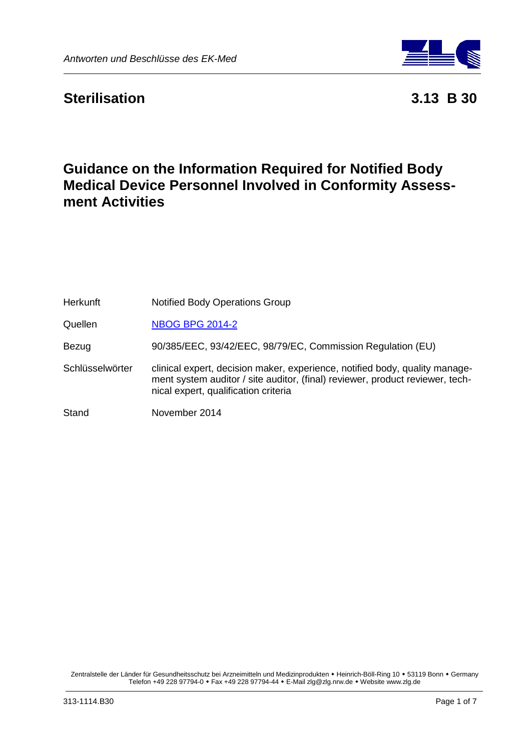

# **Sterilisation 3.13 B 30**

# **Guidance on the Information Required for Notified Body Medical Device Personnel Involved in Conformity Assessment Activities**

| <b>Herkunft</b> | <b>Notified Body Operations Group</b>                                                                                                                                                                |
|-----------------|------------------------------------------------------------------------------------------------------------------------------------------------------------------------------------------------------|
| Quellen         | <b>NBOG BPG 2014-2</b>                                                                                                                                                                               |
| Bezug           | 90/385/EEC, 93/42/EEC, 98/79/EC, Commission Regulation (EU)                                                                                                                                          |
| Schlüsselwörter | clinical expert, decision maker, experience, notified body, quality manage-<br>ment system auditor / site auditor, (final) reviewer, product reviewer, tech-<br>nical expert, qualification criteria |
| Stand           | November 2014                                                                                                                                                                                        |

Zentralstelle der Länder für Gesundheitsschutz bei Arzneimitteln und Medizinprodukten • Heinrich-Böll-Ring 10 • 53119 Bonn • Germany Telefon +49 228 97794-0 Fax +49 228 97794-44 E-Mail zlg@zlg.nrw.de Website www.zlg.de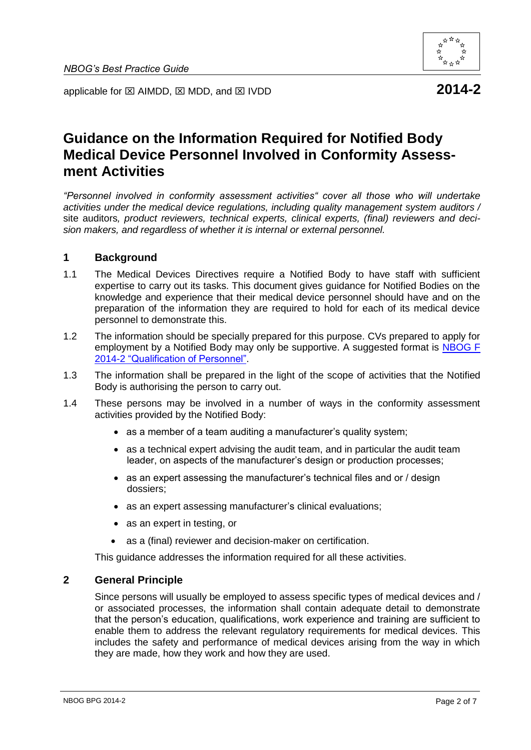

applicable for  $\boxtimes$  AIMDD,  $\boxtimes$  MDD, and  $\boxtimes$  IVDD **2014-2** 

# **Guidance on the Information Required for Notified Body Medical Device Personnel Involved in Conformity Assessment Activities**

*"Personnel involved in conformity assessment activities" cover all those who will undertake activities under the medical device regulations, including quality management system auditors /* site auditors*, product reviewers, technical experts, clinical experts, (final) reviewers and decision makers, and regardless of whether it is internal or external personnel.*

#### **1 Background**

- 1.1 The Medical Devices Directives require a Notified Body to have staff with sufficient expertise to carry out its tasks. This document gives guidance for Notified Bodies on the knowledge and experience that their medical device personnel should have and on the preparation of the information they are required to hold for each of its medical device personnel to demonstrate this.
- 1.2 The information should be specially prepared for this purpose. CVs prepared to apply for employment by a Notified Body may only be supportive. A suggested format is [NBOG F](http://www.nbog.eu/recources/NBOG_F_2014_2.doc)  2014-2 ["Qualification of Personnel".](http://www.nbog.eu/recources/NBOG_F_2014_2.doc)
- 1.3 The information shall be prepared in the light of the scope of activities that the Notified Body is authorising the person to carry out.
- 1.4 These persons may be involved in a number of ways in the conformity assessment activities provided by the Notified Body:
	- as a member of a team auditing a manufacturer's quality system;
	- as a technical expert advising the audit team, and in particular the audit team leader, on aspects of the manufacturer's design or production processes;
	- as an expert assessing the manufacturer's technical files and or / design dossiers;
	- as an expert assessing manufacturer's clinical evaluations;
	- as an expert in testing, or
	- as a (final) reviewer and decision-maker on certification.

This guidance addresses the information required for all these activities.

## **2 General Principle**

Since persons will usually be employed to assess specific types of medical devices and / or associated processes, the information shall contain adequate detail to demonstrate that the person's education, qualifications, work experience and training are sufficient to enable them to address the relevant regulatory requirements for medical devices. This includes the safety and performance of medical devices arising from the way in which they are made, how they work and how they are used.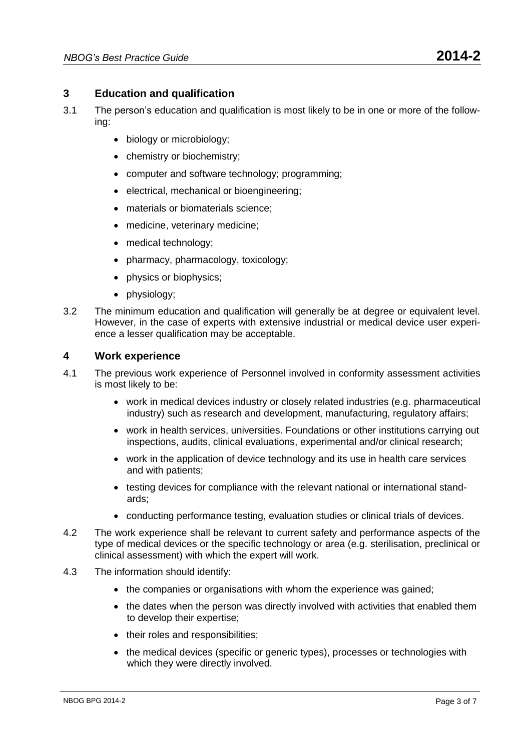- 3.1 The person's education and qualification is most likely to be in one or more of the following:
	- biology or microbiology;
	- chemistry or biochemistry;
	- computer and software technology; programming;
	- electrical, mechanical or bioengineering;
	- materials or biomaterials science;
	- medicine, veterinary medicine;
	- medical technology;
	- pharmacy, pharmacology, toxicology;
	- physics or biophysics;
	- physiology;
- 3.2 The minimum education and qualification will generally be at degree or equivalent level. However, in the case of experts with extensive industrial or medical device user experience a lesser qualification may be acceptable.

## **4 Work experience**

- 4.1 The previous work experience of Personnel involved in conformity assessment activities is most likely to be:
	- work in medical devices industry or closely related industries (e.g. pharmaceutical industry) such as research and development, manufacturing, regulatory affairs;
	- work in health services, universities. Foundations or other institutions carrying out inspections, audits, clinical evaluations, experimental and/or clinical research;
	- work in the application of device technology and its use in health care services and with patients;
	- testing devices for compliance with the relevant national or international standards;
	- conducting performance testing, evaluation studies or clinical trials of devices.
- 4.2 The work experience shall be relevant to current safety and performance aspects of the type of medical devices or the specific technology or area (e.g. sterilisation, preclinical or clinical assessment) with which the expert will work.
- 4.3 The information should identify:
	- the companies or organisations with whom the experience was gained;
	- the dates when the person was directly involved with activities that enabled them to develop their expertise;
	- their roles and responsibilities;
	- the medical devices (specific or generic types), processes or technologies with which they were directly involved.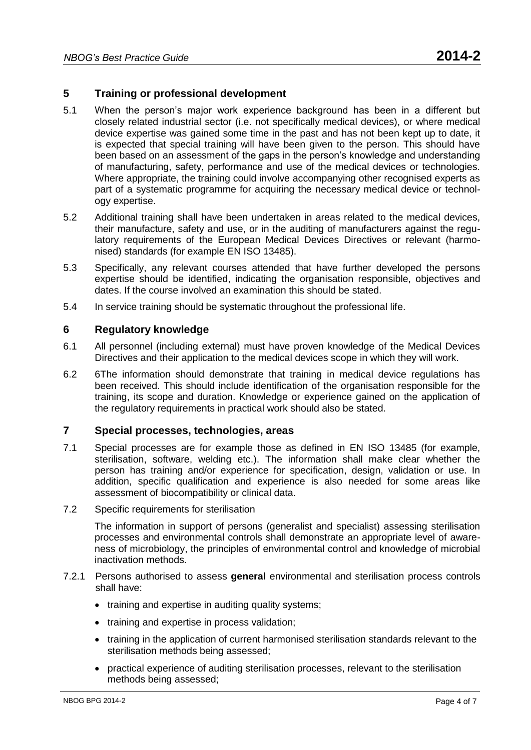## **5 Training or professional development**

- 5.1 When the person's major work experience background has been in a different but closely related industrial sector (i.e. not specifically medical devices), or where medical device expertise was gained some time in the past and has not been kept up to date, it is expected that special training will have been given to the person. This should have been based on an assessment of the gaps in the person's knowledge and understanding of manufacturing, safety, performance and use of the medical devices or technologies. Where appropriate, the training could involve accompanying other recognised experts as part of a systematic programme for acquiring the necessary medical device or technology expertise.
- 5.2 Additional training shall have been undertaken in areas related to the medical devices, their manufacture, safety and use, or in the auditing of manufacturers against the regulatory requirements of the European Medical Devices Directives or relevant (harmonised) standards (for example EN ISO 13485).
- 5.3 Specifically, any relevant courses attended that have further developed the persons expertise should be identified, indicating the organisation responsible, objectives and dates. If the course involved an examination this should be stated.
- 5.4 In service training should be systematic throughout the professional life.

### **6 Regulatory knowledge**

- 6.1 All personnel (including external) must have proven knowledge of the Medical Devices Directives and their application to the medical devices scope in which they will work.
- 6.2 6The information should demonstrate that training in medical device regulations has been received. This should include identification of the organisation responsible for the training, its scope and duration. Knowledge or experience gained on the application of the regulatory requirements in practical work should also be stated.

## **7 Special processes, technologies, areas**

- 7.1 Special processes are for example those as defined in EN ISO 13485 (for example, sterilisation, software, welding etc.). The information shall make clear whether the person has training and/or experience for specification, design, validation or use. In addition, specific qualification and experience is also needed for some areas like assessment of biocompatibility or clinical data.
- 7.2 Specific requirements for sterilisation

The information in support of persons (generalist and specialist) assessing sterilisation processes and environmental controls shall demonstrate an appropriate level of awareness of microbiology, the principles of environmental control and knowledge of microbial inactivation methods.

- 7.2.1 Persons authorised to assess **general** environmental and sterilisation process controls shall have:
	- training and expertise in auditing quality systems;
	- training and expertise in process validation;
	- training in the application of current harmonised sterilisation standards relevant to the sterilisation methods being assessed;
	- practical experience of auditing sterilisation processes, relevant to the sterilisation methods being assessed;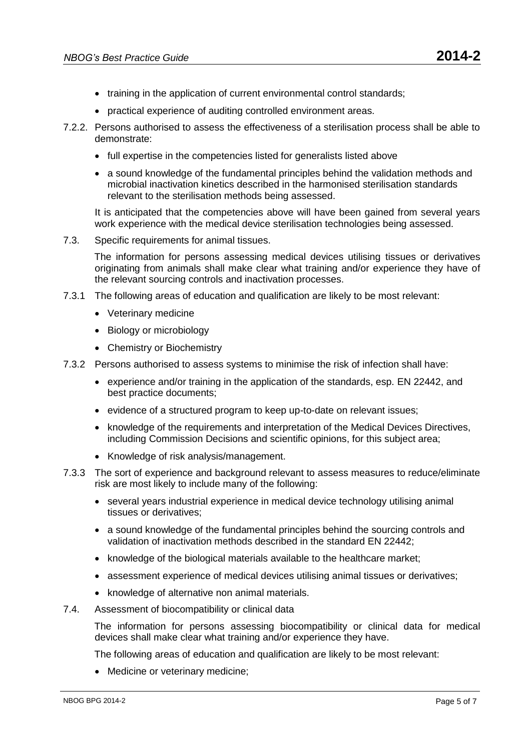- training in the application of current environmental control standards;
- practical experience of auditing controlled environment areas.
- 7.2.2. Persons authorised to assess the effectiveness of a sterilisation process shall be able to demonstrate:
	- full expertise in the competencies listed for generalists listed above
	- a sound knowledge of the fundamental principles behind the validation methods and microbial inactivation kinetics described in the harmonised sterilisation standards relevant to the sterilisation methods being assessed.

It is anticipated that the competencies above will have been gained from several years work experience with the medical device sterilisation technologies being assessed.

7.3. Specific requirements for animal tissues.

The information for persons assessing medical devices utilising tissues or derivatives originating from animals shall make clear what training and/or experience they have of the relevant sourcing controls and inactivation processes.

- 7.3.1 The following areas of education and qualification are likely to be most relevant:
	- Veterinary medicine
	- Biology or microbiology
	- Chemistry or Biochemistry
- 7.3.2 Persons authorised to assess systems to minimise the risk of infection shall have:
	- experience and/or training in the application of the standards, esp. EN 22442, and best practice documents;
	- evidence of a structured program to keep up-to-date on relevant issues;
	- knowledge of the requirements and interpretation of the Medical Devices Directives, including Commission Decisions and scientific opinions, for this subject area;
	- Knowledge of risk analysis/management.
- 7.3.3 The sort of experience and background relevant to assess measures to reduce/eliminate risk are most likely to include many of the following:
	- several years industrial experience in medical device technology utilising animal tissues or derivatives;
	- a sound knowledge of the fundamental principles behind the sourcing controls and validation of inactivation methods described in the standard EN 22442;
	- knowledge of the biological materials available to the healthcare market:
	- assessment experience of medical devices utilising animal tissues or derivatives;
	- knowledge of alternative non animal materials.
- 7.4. Assessment of biocompatibility or clinical data

The information for persons assessing biocompatibility or clinical data for medical devices shall make clear what training and/or experience they have.

The following areas of education and qualification are likely to be most relevant:

• Medicine or veterinary medicine: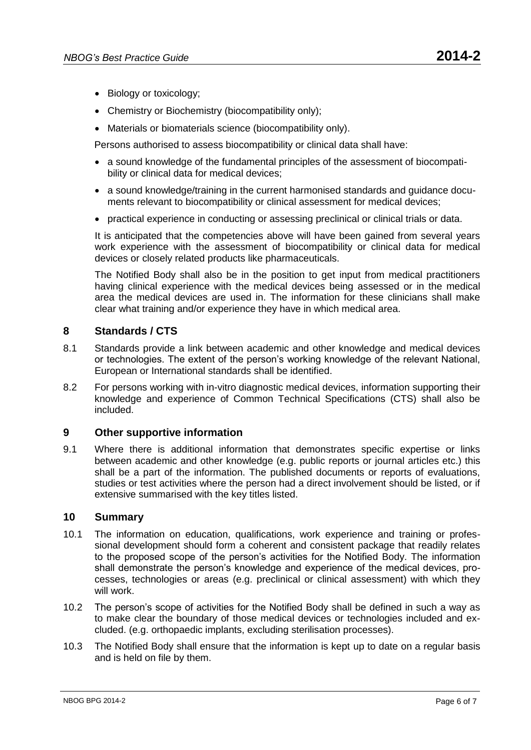- Biology or toxicology;
- Chemistry or Biochemistry (biocompatibility only);
- Materials or biomaterials science (biocompatibility only).

Persons authorised to assess biocompatibility or clinical data shall have:

- a sound knowledge of the fundamental principles of the assessment of biocompatibility or clinical data for medical devices;
- a sound knowledge/training in the current harmonised standards and guidance documents relevant to biocompatibility or clinical assessment for medical devices:
- practical experience in conducting or assessing preclinical or clinical trials or data.

It is anticipated that the competencies above will have been gained from several years work experience with the assessment of biocompatibility or clinical data for medical devices or closely related products like pharmaceuticals.

The Notified Body shall also be in the position to get input from medical practitioners having clinical experience with the medical devices being assessed or in the medical area the medical devices are used in. The information for these clinicians shall make clear what training and/or experience they have in which medical area.

### **8 Standards / CTS**

- 8.1 Standards provide a link between academic and other knowledge and medical devices or technologies. The extent of the person's working knowledge of the relevant National, European or International standards shall be identified.
- 8.2 For persons working with in-vitro diagnostic medical devices, information supporting their knowledge and experience of Common Technical Specifications (CTS) shall also be included.

### **9 Other supportive information**

9.1 Where there is additional information that demonstrates specific expertise or links between academic and other knowledge (e.g. public reports or journal articles etc.) this shall be a part of the information. The published documents or reports of evaluations, studies or test activities where the person had a direct involvement should be listed, or if extensive summarised with the key titles listed.

### **10 Summary**

- 10.1 The information on education, qualifications, work experience and training or professional development should form a coherent and consistent package that readily relates to the proposed scope of the person's activities for the Notified Body. The information shall demonstrate the person's knowledge and experience of the medical devices, processes, technologies or areas (e.g. preclinical or clinical assessment) with which they will work.
- 10.2 The person's scope of activities for the Notified Body shall be defined in such a way as to make clear the boundary of those medical devices or technologies included and excluded. (e.g. orthopaedic implants, excluding sterilisation processes).
- 10.3 The Notified Body shall ensure that the information is kept up to date on a regular basis and is held on file by them.